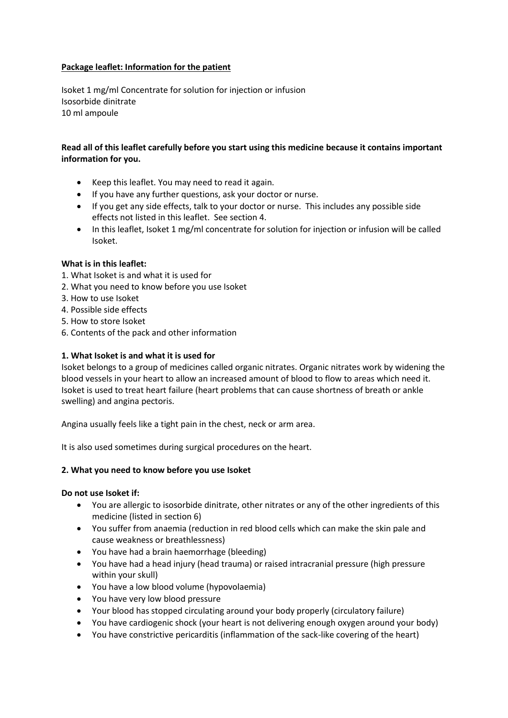# **Package leaflet: Information for the patient**

Isoket 1 mg/ml Concentrate for solution for injection or infusion Isosorbide dinitrate 10 ml ampoule

# **Read all of this leaflet carefully before you start using this medicine because it contains important information for you.**

- Keep this leaflet. You may need to read it again.
- If you have any further questions, ask your doctor or nurse.
- If you get any side effects, talk to your doctor or nurse. This includes any possible side effects not listed in this leaflet. See section 4.
- In this leaflet, Isoket 1 mg/ml concentrate for solution for injection or infusion will be called Isoket.

### **What is in this leaflet:**

- 1. What Isoket is and what it is used for
- 2. What you need to know before you use Isoket
- 3. How to use Isoket
- 4. Possible side effects
- 5. How to store Isoket
- 6. Contents of the pack and other information

### **1. What Isoket is and what it is used for**

Isoket belongs to a group of medicines called organic nitrates. Organic nitrates work by widening the blood vessels in your heart to allow an increased amount of blood to flow to areas which need it. Isoket is used to treat heart failure (heart problems that can cause shortness of breath or ankle swelling) and angina pectoris.

Angina usually feels like a tight pain in the chest, neck or arm area.

It is also used sometimes during surgical procedures on the heart.

### **2. What you need to know before you use Isoket**

### **Do not use Isoket if:**

- You are allergic to isosorbide dinitrate, other nitrates or any of the other ingredients of this medicine (listed in section 6)
- You suffer from anaemia (reduction in red blood cells which can make the skin pale and cause weakness or breathlessness)
- You have had a brain haemorrhage (bleeding)
- You have had a head injury (head trauma) or raised intracranial pressure (high pressure within your skull)
- You have a low blood volume (hypovolaemia)
- You have very low blood pressure
- Your blood has stopped circulating around your body properly (circulatory failure)
- You have cardiogenic shock (your heart is not delivering enough oxygen around your body)
- You have constrictive pericarditis (inflammation of the sack-like covering of the heart)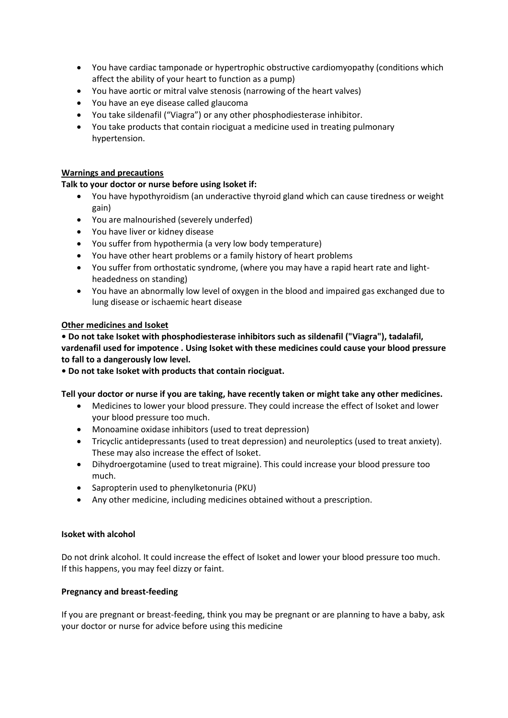- You have cardiac tamponade or hypertrophic obstructive cardiomyopathy (conditions which affect the ability of your heart to function as a pump)
- You have aortic or mitral valve stenosis (narrowing of the heart valves)
- You have an eye disease called glaucoma
- You take sildenafil ("Viagra") or any other phosphodiesterase inhibitor.
- You take products that contain riociguat a medicine used in treating pulmonary hypertension.

## **Warnings and precautions**

# **Talk to your doctor or nurse before using Isoket if:**

- You have hypothyroidism (an underactive thyroid gland which can cause tiredness or weight gain)
- You are malnourished (severely underfed)
- You have liver or kidney disease
- You suffer from hypothermia (a very low body temperature)
- You have other heart problems or a family history of heart problems
- You suffer from orthostatic syndrome, (where you may have a rapid heart rate and lightheadedness on standing)
- You have an abnormally low level of oxygen in the blood and impaired gas exchanged due to lung disease or ischaemic heart disease

### **Other medicines and Isoket**

**• Do not take Isoket with phosphodiesterase inhibitors such as sildenafil ("Viagra"), tadalafil, vardenafil used for impotence . Using Isoket with these medicines could cause your blood pressure to fall to a dangerously low level.**

**• Do not take Isoket with products that contain riociguat.**

### **Tell your doctor or nurse if you are taking, have recently taken or might take any other medicines.**

- Medicines to lower your blood pressure. They could increase the effect of Isoket and lower your blood pressure too much.
- Monoamine oxidase inhibitors (used to treat depression)
- Tricyclic antidepressants (used to treat depression) and neuroleptics (used to treat anxiety). These may also increase the effect of Isoket.
- Dihydroergotamine (used to treat migraine). This could increase your blood pressure too much.
- Sapropterin used to phenylketonuria (PKU)
- Any other medicine, including medicines obtained without a prescription.

### **Isoket with alcohol**

Do not drink alcohol. It could increase the effect of Isoket and lower your blood pressure too much. If this happens, you may feel dizzy or faint.

### **Pregnancy and breast-feeding**

If you are pregnant or breast-feeding, think you may be pregnant or are planning to have a baby, ask your doctor or nurse for advice before using this medicine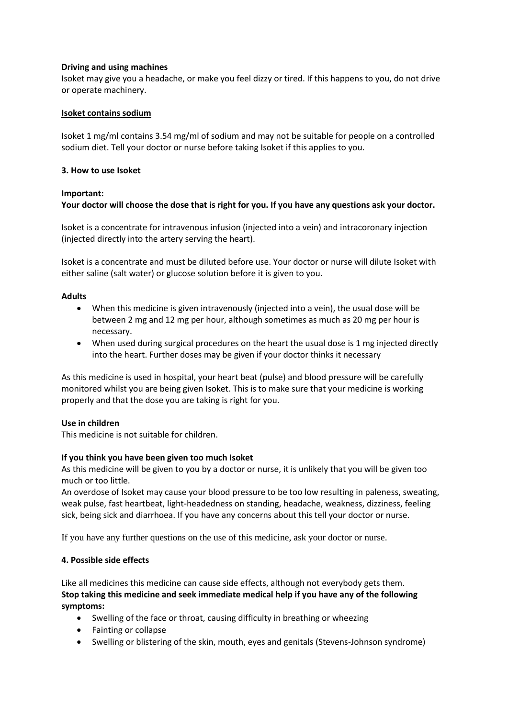## **Driving and using machines**

Isoket may give you a headache, or make you feel dizzy or tired. If this happens to you, do not drive or operate machinery.

## **Isoket contains sodium**

Isoket 1 mg/ml contains 3.54 mg/ml of sodium and may not be suitable for people on a controlled sodium diet. Tell your doctor or nurse before taking Isoket if this applies to you.

# **3. How to use Isoket**

# **Important:**

# **Your doctor will choose the dose that is right for you. If you have any questions ask your doctor.**

Isoket is a concentrate for intravenous infusion (injected into a vein) and intracoronary injection (injected directly into the artery serving the heart).

Isoket is a concentrate and must be diluted before use. Your doctor or nurse will dilute Isoket with either saline (salt water) or glucose solution before it is given to you.

# **Adults**

- When this medicine is given intravenously (injected into a vein), the usual dose will be between 2 mg and 12 mg per hour, although sometimes as much as 20 mg per hour is necessary.
- When used during surgical procedures on the heart the usual dose is 1 mg injected directly into the heart. Further doses may be given if your doctor thinks it necessary

As this medicine is used in hospital, your heart beat (pulse) and blood pressure will be carefully monitored whilst you are being given Isoket. This is to make sure that your medicine is working properly and that the dose you are taking is right for you.

# **Use in children**

This medicine is not suitable for children.

### **If you think you have been given too much Isoket**

As this medicine will be given to you by a doctor or nurse, it is unlikely that you will be given too much or too little.

An overdose of Isoket may cause your blood pressure to be too low resulting in paleness, sweating, weak pulse, fast heartbeat, light-headedness on standing, headache, weakness, dizziness, feeling sick, being sick and diarrhoea. If you have any concerns about this tell your doctor or nurse.

If you have any further questions on the use of this medicine, ask your doctor or nurse.

# **4. Possible side effects**

Like all medicines this medicine can cause side effects, although not everybody gets them. **Stop taking this medicine and seek immediate medical help if you have any of the following symptoms:**

- Swelling of the face or throat, causing difficulty in breathing or wheezing
- Fainting or collapse
- Swelling or blistering of the skin, mouth, eyes and genitals (Stevens-Johnson syndrome)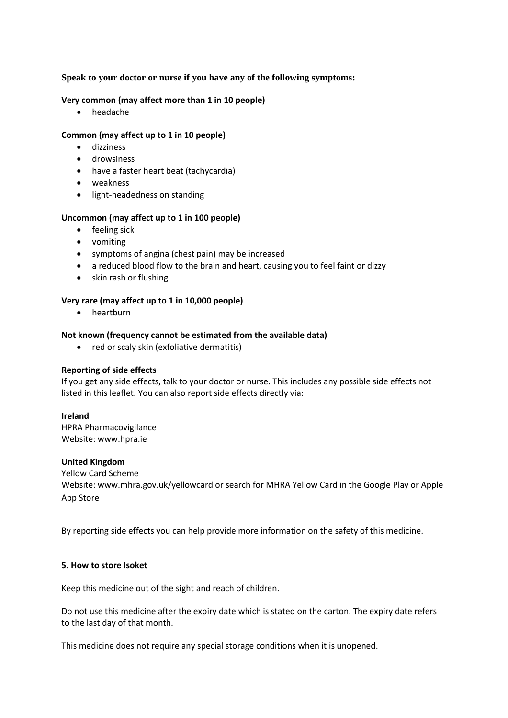# **Speak to your doctor or nurse if you have any of the following symptoms:**

## **Very common (may affect more than 1 in 10 people)**

headache

# **Common (may affect up to 1 in 10 people)**

- dizziness
- **•** drowsiness
- have a faster heart beat (tachycardia)
- weakness
- **•** light-headedness on standing

### **Uncommon (may affect up to 1 in 100 people)**

- feeling sick
- vomiting
- symptoms of angina (chest pain) may be increased
- a reduced blood flow to the brain and heart, causing you to feel faint or dizzy
- skin rash or flushing

### **Very rare (may affect up to 1 in 10,000 people)**

• heartburn

### **Not known (frequency cannot be estimated from the available data)**

• red or scaly skin (exfoliative dermatitis)

### **Reporting of side effects**

If you get any side effects, talk to your doctor or nurse. This includes any possible side effects not listed in this leaflet. You can also report side effects directly via:

### **Ireland**

HPRA Pharmacovigilance Website: www.hpra.ie

### **United Kingdom**

Yellow Card Scheme Website[: www.mhra.gov.uk/yellowcard](http://www.mhra.gov.uk/yellowcard) or search for MHRA Yellow Card in the Google Play or Apple App Store

By reporting side effects you can help provide more information on the safety of this medicine.

### **5. How to store Isoket**

Keep this medicine out of the sight and reach of children.

Do not use this medicine after the expiry date which is stated on the carton. The expiry date refers to the last day of that month.

This medicine does not require any special storage conditions when it is unopened.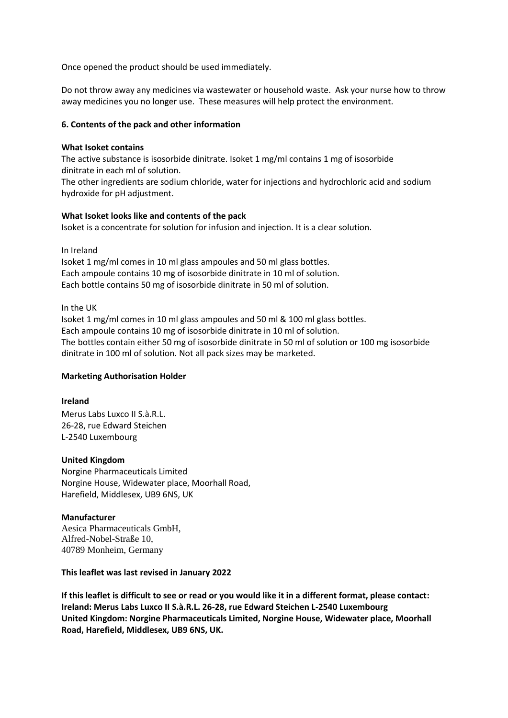Once opened the product should be used immediately.

Do not throw away any medicines via wastewater or household waste. Ask your nurse how to throw away medicines you no longer use. These measures will help protect the environment.

## **6. Contents of the pack and other information**

### **What Isoket contains**

The active substance is isosorbide dinitrate. Isoket 1 mg/ml contains 1 mg of isosorbide dinitrate in each ml of solution.

The other ingredients are sodium chloride, water for injections and hydrochloric acid and sodium hydroxide for pH adjustment.

### **What Isoket looks like and contents of the pack**

Isoket is a concentrate for solution for infusion and injection. It is a clear solution.

In Ireland

Isoket 1 mg/ml comes in 10 ml glass ampoules and 50 ml glass bottles. Each ampoule contains 10 mg of isosorbide dinitrate in 10 ml of solution. Each bottle contains 50 mg of isosorbide dinitrate in 50 ml of solution.

In the UK

Isoket 1 mg/ml comes in 10 ml glass ampoules and 50 ml & 100 ml glass bottles. Each ampoule contains 10 mg of isosorbide dinitrate in 10 ml of solution. The bottles contain either 50 mg of isosorbide dinitrate in 50 ml of solution or 100 mg isosorbide dinitrate in 100 ml of solution. Not all pack sizes may be marketed.

### **Marketing Authorisation Holder**

#### **Ireland**

Merus Labs Luxco II S.à.R.L. 26-28, rue Edward Steichen L-2540 Luxembourg

### **United Kingdom**

Norgine Pharmaceuticals Limited Norgine House, Widewater place, Moorhall Road, Harefield, Middlesex, UB9 6NS, UK

### **Manufacturer**

Aesica Pharmaceuticals GmbH, Alfred-Nobel-Straße 10, 40789 Monheim, Germany

**This leaflet was last revised in January 2022**

**If this leaflet is difficult to see or read or you would like it in a different format, please contact: Ireland: Merus Labs Luxco II S.à.R.L. 26-28, rue Edward Steichen L-2540 Luxembourg United Kingdom: Norgine Pharmaceuticals Limited, Norgine House, Widewater place, Moorhall Road, Harefield, Middlesex, UB9 6NS, UK.**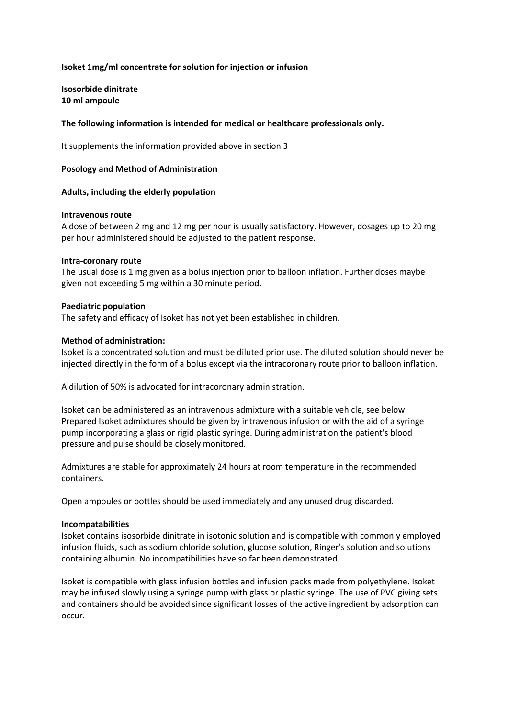### **Isoket 1mg/ml concentrate for solution for injection or infusion**

**Isosorbide dinitrate 10 ml ampoule**

#### **The following information is intended for medical or healthcare professionals only.**

It supplements the information provided above in section 3

#### **Posology and Method of Administration**

#### **Adults, including the elderly population**

#### **Intravenous route**

A dose of between 2 mg and 12 mg per hour is usually satisfactory. However, dosages up to 20 mg per hour administered should be adjusted to the patient response.

#### **Intra-coronary route**

The usual dose is 1 mg given as a bolus injection prior to balloon inflation. Further doses maybe given not exceeding 5 mg within a 30 minute period.

#### **Paediatric population**

The safety and efficacy of Isoket has not yet been established in children.

#### **Method of administration:**

Isoket is a concentrated solution and must be diluted prior use. The diluted solution should never be injected directly in the form of a bolus except via the intracoronary route prior to balloon inflation.

A dilution of 50% is advocated for intracoronary administration.

Isoket can be administered as an intravenous admixture with a suitable vehicle, see below. Prepared Isoket admixtures should be given by intravenous infusion or with the aid of a syringe pump incorporating a glass or rigid plastic syringe. During administration the patient's blood pressure and pulse should be closely monitored.

Admixtures are stable for approximately 24 hours at room temperature in the recommended containers.

Open ampoules or bottles should be used immediately and any unused drug discarded.

#### **Incompatabilities**

Isoket contains isosorbide dinitrate in isotonic solution and is compatible with commonly employed infusion fluids, such as sodium chloride solution, glucose solution, Ringer's solution and solutions containing albumin. No incompatibilities have so far been demonstrated.

Isoket is compatible with glass infusion bottles and infusion packs made from polyethylene. Isoket may be infused slowly using a syringe pump with glass or plastic syringe. The use of PVC giving sets and containers should be avoided since significant losses of the active ingredient by adsorption can occur.